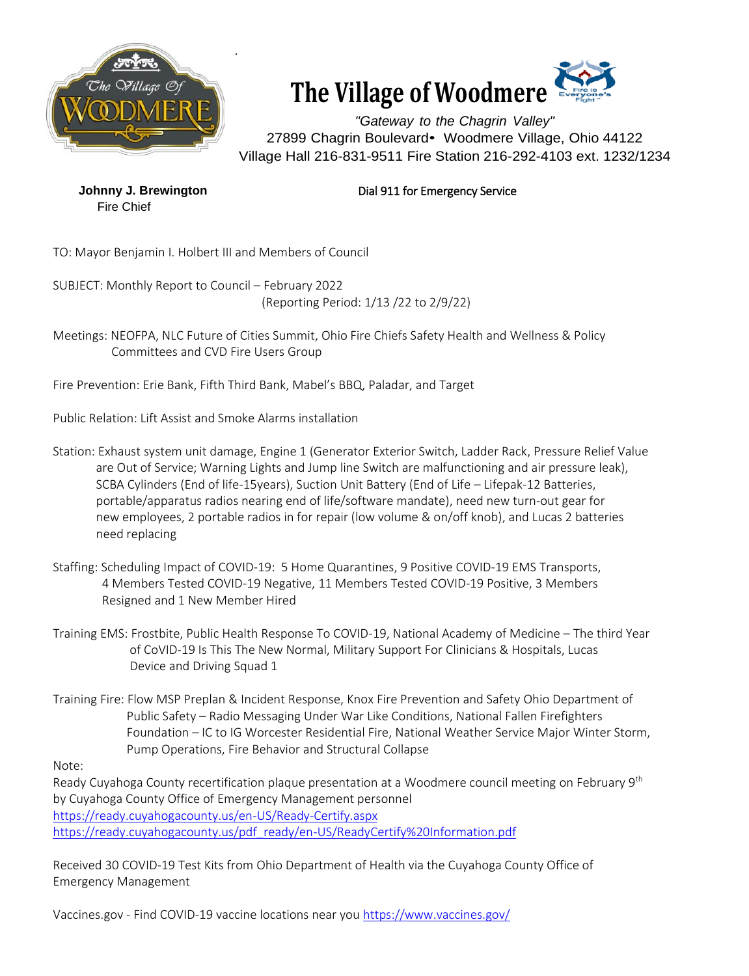



*"Gateway to the Chagrin Valley"* 27899 Chagrin Boulevard• Woodmere Village, Ohio 44122 Village Hall 216-831-9511 Fire Station 216-292-4103 ext. 1232/1234

Fire Chief

**Johnny J. Brewington Dial 911 for Emergency Service** 

TO: Mayor Benjamin I. Holbert III and Members of Council

SUBJECT: Monthly Report to Council – February 2022 (Reporting Period: 1/13 /22 to 2/9/22)

Meetings: NEOFPA, NLC Future of Cities Summit, Ohio Fire Chiefs Safety Health and Wellness & Policy Committees and CVD Fire Users Group

Fire Prevention: Erie Bank, Fifth Third Bank, Mabel's BBQ, Paladar, and Target

Public Relation: Lift Assist and Smoke Alarms installation

- Station: Exhaust system unit damage, Engine 1 (Generator Exterior Switch, Ladder Rack, Pressure Relief Value are Out of Service; Warning Lights and Jump line Switch are malfunctioning and air pressure leak), SCBA Cylinders (End of life-15years), Suction Unit Battery (End of Life – Lifepak-12 Batteries, portable/apparatus radios nearing end of life/software mandate), need new turn-out gear for new employees, 2 portable radios in for repair (low volume & on/off knob), and Lucas 2 batteries need replacing
- Staffing: Scheduling Impact of COVID-19: 5 Home Quarantines, 9 Positive COVID-19 EMS Transports, 4 Members Tested COVID-19 Negative, 11 Members Tested COVID-19 Positive, 3 Members Resigned and 1 New Member Hired
- Training EMS: Frostbite, Public Health Response To COVID-19, National Academy of Medicine The third Year of CoVID-19 Is This The New Normal, Military Support For Clinicians & Hospitals, Lucas Device and Driving Squad 1
- Training Fire: Flow MSP Preplan & Incident Response, Knox Fire Prevention and Safety Ohio Department of Public Safety – Radio Messaging Under War Like Conditions, National Fallen Firefighters Foundation – IC to IG Worcester Residential Fire, National Weather Service Major Winter Storm, Pump Operations, Fire Behavior and Structural Collapse

Note:

Ready Cuyahoga County recertification plaque presentation at a Woodmere council meeting on February 9<sup>th</sup> by Cuyahoga County Office of Emergency Management personnel <https://ready.cuyahogacounty.us/en-US/Ready-Certify.aspx> [https://ready.cuyahogacounty.us/pdf\\_ready/en-US/ReadyCertify%20Information.pdf](https://ready.cuyahogacounty.us/pdf_ready/en-US/ReadyCertify%20Information.pdf)

Received 30 COVID-19 Test Kits from Ohio Department of Health via the Cuyahoga County Office of Emergency Management

Vaccines.gov - Find COVID-19 vaccine locations near you<https://www.vaccines.gov/>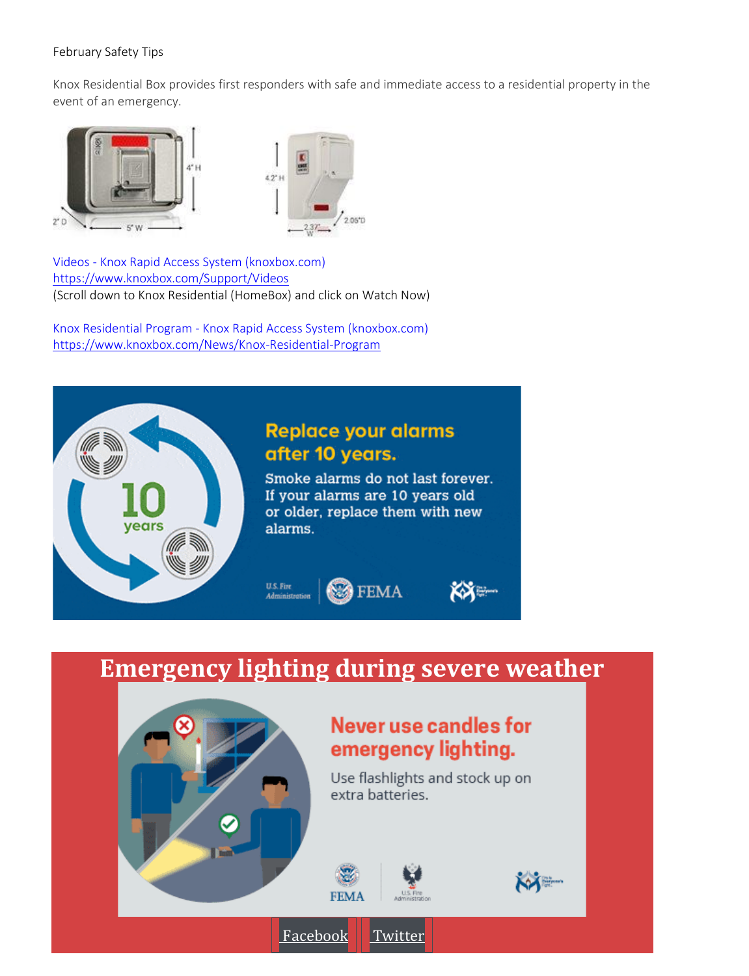## February Safety Tips

Knox Residential Box provides first responders with safe and immediate access to a residential property in the event of an emergency.



Videos - [Knox Rapid Access System \(knoxbox.com\)](https://www.knoxbox.com/Support/Videos) <https://www.knoxbox.com/Support/Videos> (Scroll down to Knox Residential (HomeBox) and click on Watch Now)

Knox Residential Program - [Knox Rapid Access System \(knoxbox.com\)](https://www.knoxbox.com/News/Knox-Residential-Program) <https://www.knoxbox.com/News/Knox-Residential-Program>



## **Emergency lighting during severe weather**